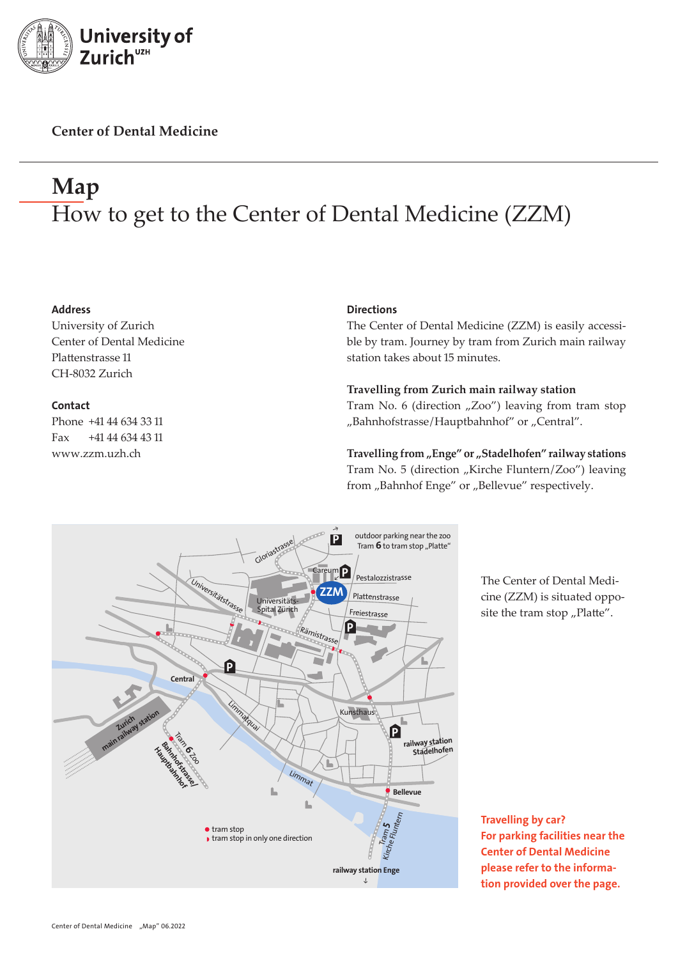

**Center of Dental Medicine**

## **Map** How to get to the Center of Dental Medicine (ZZM)

#### Address

University of Zurich Center of Dental Medicine Plattenstrasse 11 CH-8032 Zurich

#### **Contact**

Phone +41 44 634 33 11 Fax +41 44 634 43 11 www.zzm.uzh.ch

#### **Directions**

The Center of Dental Medicine (ZZM) is easily accessible by tram. Journey by tram from Zurich main railway station takes about 15 minutes.

#### **Travelling from Zurich main railway station**

Tram No. 6 (direction  $nZoo''$ ) leaving from tram stop "Bahnhofstrasse/Hauptbahnhof" or "Central".

Travelling from "Enge" or "Stadelhofen" railway stations Tram No. 5 (direction "Kirche Fluntern/Zoo") leaving from "Bahnhof Enge" or "Bellevue" respectively.



The Center of Dental Medicine (ZZM) is situated opposite the tram stop  $n$ Platte".

Travelling by car? For parking facilities near the Center of Dental Medicine please refer to the information provided over the page.